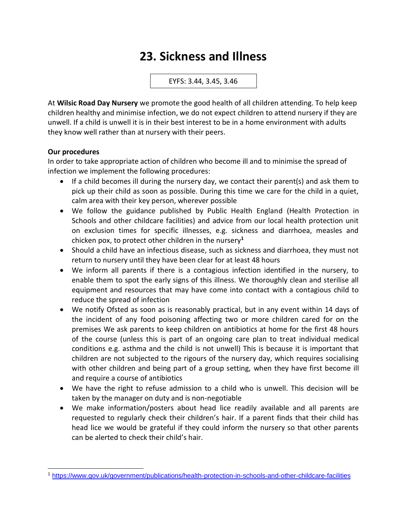## **23. Sickness and Illness**

EYFS: 3.44, 3.45, 3.46

At **Wilsic Road Day Nursery** we promote the good health of all children attending. To help keep children healthy and minimise infection, we do not expect children to attend nursery if they are unwell. If a child is unwell it is in their best interest to be in a home environment with adults they know well rather than at nursery with their peers.

## **Our procedures**

In order to take appropriate action of children who become ill and to minimise the spread of infection we implement the following procedures:

- If a child becomes ill during the nursery day, we contact their parent(s) and ask them to pick up their child as soon as possible. During this time we care for the child in a quiet, calm area with their key person, wherever possible
- We follow the guidance published by Public Health England (Health Protection in Schools and other childcare facilities) and advice from our local health protection unit on exclusion times for specific illnesses, e.g. sickness and diarrhoea, measles and chicken pox, to protect other children in the nursery**<sup>1</sup>**
- Should a child have an infectious disease, such as sickness and diarrhoea, they must not return to nursery until they have been clear for at least 48 hours
- We inform all parents if there is a contagious infection identified in the nursery, to enable them to spot the early signs of this illness. We thoroughly clean and sterilise all equipment and resources that may have come into contact with a contagious child to reduce the spread of infection
- We notify Ofsted as soon as is reasonably practical, but in any event within 14 days of the incident of any food poisoning affecting two or more children cared for on the premises We ask parents to keep children on antibiotics at home for the first 48 hours of the course (unless this is part of an ongoing care plan to treat individual medical conditions e.g. asthma and the child is not unwell) This is because it is important that children are not subjected to the rigours of the nursery day, which requires socialising with other children and being part of a group setting, when they have first become ill and require a course of antibiotics
- We have the right to refuse admission to a child who is unwell. This decision will be taken by the manager on duty and is non-negotiable
- We make information/posters about head lice readily available and all parents are requested to regularly check their children's hair. If a parent finds that their child has head lice we would be grateful if they could inform the nursery so that other parents can be alerted to check their child's hair.

<sup>1</sup> <https://www.gov.uk/government/publications/health-protection-in-schools-and-other-childcare-facilities>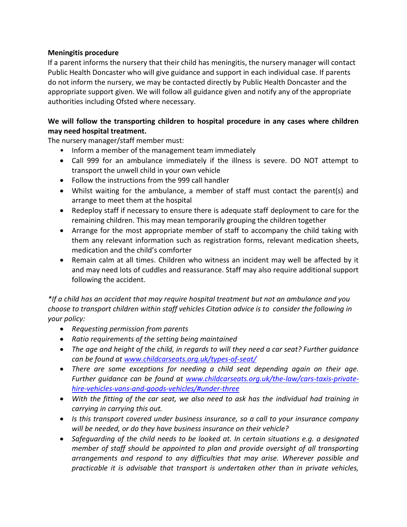## **Meningitis procedure**

If a parent informs the nursery that their child has meningitis, the nursery manager will contact Public Health Doncaster who will give guidance and support in each individual case. If parents do not inform the nursery, we may be contacted directly by Public Health Doncaster and the appropriate support given. We will follow all guidance given and notify any of the appropriate authorities including Ofsted where necessary.

## **We will follow the transporting children to hospital procedure in any cases where children may need hospital treatment.**

The nursery manager/staff member must:

- Inform a member of the management team immediately
- Call 999 for an ambulance immediately if the illness is severe. DO NOT attempt to transport the unwell child in your own vehicle
- Follow the instructions from the 999 call handler
- Whilst waiting for the ambulance, a member of staff must contact the parent(s) and arrange to meet them at the hospital
- Redeploy staff if necessary to ensure there is adequate staff deployment to care for the remaining children. This may mean temporarily grouping the children together
- Arrange for the most appropriate member of staff to accompany the child taking with them any relevant information such as registration forms, relevant medication sheets, medication and the child's comforter
- Remain calm at all times. Children who witness an incident may well be affected by it and may need lots of cuddles and reassurance. Staff may also require additional support following the accident.

*\*If a child has an accident that may require hospital treatment but not an ambulance and you choose to transport children within staff vehicles Citation advice is to consider the following in your policy:*

- *Requesting permission from parents*
- *Ratio requirements of the setting being maintained*
- *The age and height of the child, in regards to will they need a car seat? Further guidance can be found at [www.childcarseats.org.uk/types-of-seat/](http://www.childcarseats.org.uk/types-of-seat/)*
- *There are some exceptions for needing a child seat depending again on their age. Further guidance can be found at [www.childcarseats.org.uk/the-law/cars-taxis-private](http://www.childcarseats.org.uk/the-law/cars-taxis-private-hire-vehicles-vans-and-goods-vehicles/#under-three)[hire-vehicles-vans-and-goods-vehicles/#under-three](http://www.childcarseats.org.uk/the-law/cars-taxis-private-hire-vehicles-vans-and-goods-vehicles/#under-three)*
- *With the fitting of the car seat, we also need to ask has the individual had training in carrying in carrying this out.*
- *Is this transport covered under business insurance, so a call to your insurance company will be needed, or do they have business insurance on their vehicle?*
- *Safeguarding of the child needs to be looked at. In certain situations e.g. a designated member of staff should be appointed to plan and provide oversight of all transporting arrangements and respond to any difficulties that may arise. Wherever possible and practicable it is advisable that transport is undertaken other than in private vehicles,*